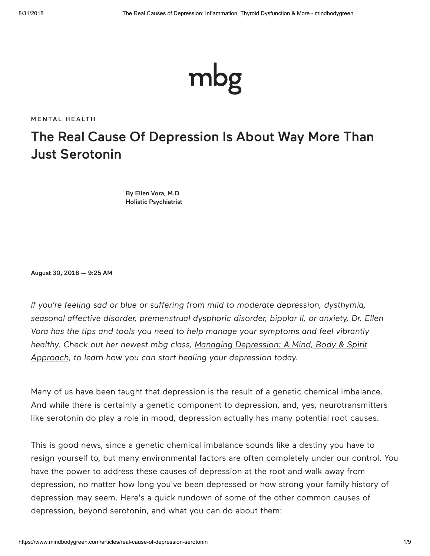

**MENTAL H[EALT](https://www.mindbodygreen.com/mental-health?mbg_ifs=0&mbg_p=a&mbg_ref=body)H** 

# The Real Cause Of Depression Is About Way More Than Just Serotonin

[By Ellen Vora, M.D.](https://www.mindbodygreen.com/wc/dr-ellen-vora?mbg_ifs=0&mbg_p=a&mbg_ref=body) [Holistic Psychiatrist](https://www.mindbodygreen.com/wc/dr-ellen-vora?mbg_ifs=0&mbg_p=a&mbg_ref=body)

August 30, 2018 — 9:25 AM

*If you're feeling sad or blue or suffering from mild to moderate depression, dysthymia, seasonal affective disorder, premenstrual dysphoric disorder, bipolar II, or anxiety, Dr. Ellen Vora has the tips and tools you need to help manage your symptoms and feel vibrantly [healthy. Check out her newest mbg class, Managing Depression: A Mind, Body & Spirit](https://www.mindbodygreen.com/classes/managing-depression-mind-body-spirit-approach/dashboard?mbg_ifs=0&mbg_p=a&mbg_ref=body&mbg_ifs=0&mbg_p=a&mbg_ref=body&mbg_ifs=0&mbg_p=a&mbg_ref=body) Approach, to learn how you can start healing your depression today.*

Many of us have been taught that depression is the result of a genetic chemical imbalance. And while there is certainly a genetic component to depression, and, yes, neurotransmitters like serotonin do play a role in mood, depression actually has many potential root causes.

This is good news, since a genetic chemical imbalance sounds like a destiny you have to resign yourself to, but many environmental factors are often completely under our control. You have the power to address these causes of depression at the root and walk away from depression, no matter how long you've been depressed or how strong your family history of depression may seem. Here's a quick rundown of some of the other common causes of depression, beyond serotonin, and what you can do about them: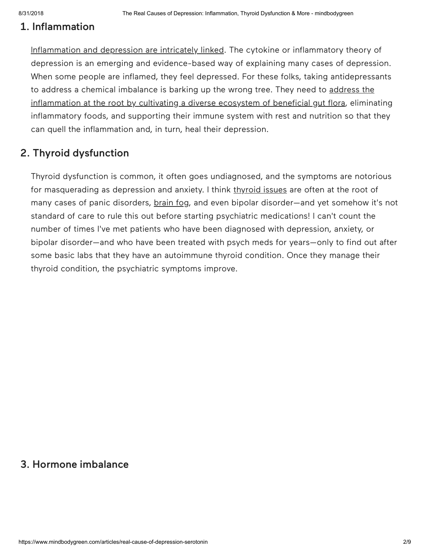#### 1. Inflammation

[Inflammation and depression are intricately linked](https://www.ncbi.nlm.nih.gov/pmc/articles/PMC5542678/). The cytokine or inflammatory theory of depression is an emerging and evidence-based way of explaining many cases of depression. When some people are inflamed, they feel depressed. For these folks, taking antidepressants [to address a chemical imbalance is barking up the wrong tree. They need to address the](https://www.ncbi.nlm.nih.gov/pmc/articles/PMC5388779/) inflammation at the root by cultivating a diverse ecosystem of beneficial gut flora, eliminating inflammatory foods, and supporting their immune system with rest and nutrition so that they can quell the inflammation and, in turn, heal their depression.

### 2. Thyroid dysfunction

Thyroid dysfunction is common, it often goes undiagnosed, and the symptoms are notorious for masquerading as depression and anxiety. I think [thyroid issues](https://www.mindbodygreen.com/0-18170/13-signs-you-have-a-thyroid-problem-what-to-do-about-it.html?mbg_ifs=0&mbg_p=a&mbg_ref=body) are often at the root of many cases of panic disorders, [brain fog](https://www.mindbodygreen.com/0-28772/heres-exactly-what-to-do-about-brain-fog-a-functional-medicine-expert-explains.html?mbg_ifs=0&mbg_p=a&mbg_ref=body), and even bipolar disorder—and yet somehow it's not standard of care to rule this out before starting psychiatric medications! I can't count the number of times I've met patients who have been diagnosed with depression, anxiety, or bipolar disorder—and who have been treated with psych meds for years—only to find out after some basic labs that they have an autoimmune thyroid condition. Once they manage their thyroid condition, the psychiatric symptoms improve.

#### 3. Hormone imbalance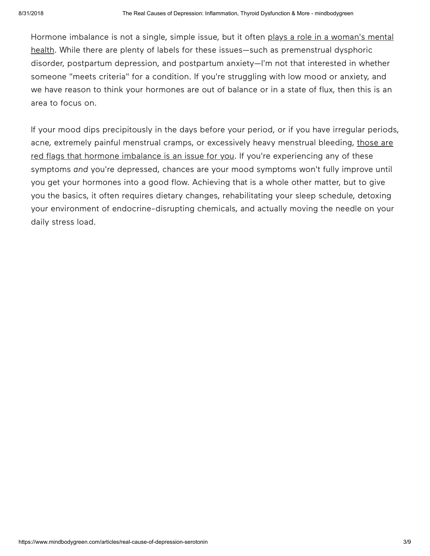[Hormone imbalance is not a single, simple issue, but it often plays a role in a woman's mental](https://www.ncbi.nlm.nih.gov/pmc/articles/PMC3209462/) health. While there are plenty of labels for these issues—such as premenstrual dysphoric disorder, postpartum depression, and postpartum anxiety—I'm not that interested in whether someone "meets criteria" for a condition. If you're struggling with low mood or anxiety, and we have reason to think your hormones are out of balance or in a state of flux, then this is an area to focus on.

If your mood dips precipitously in the days before your period, or if you have irregular periods, [acne, extremely painful menstrual cramps, or excessively heavy menstrual bleeding, those are](https://www.mindbodygreen.com/articles/here-s-how-anxiety-messes-with-your-hormones-weight?mbg_ifs=0&mbg_p=a&mbg_ref=body) red flags that hormone imbalance is an issue for you. If you're experiencing any of these symptoms *and* you're depressed, chances are your mood symptoms won't fully improve until you get your hormones into a good flow. Achieving that is a whole other matter, but to give you the basics, it often requires dietary changes, rehabilitating your sleep schedule, detoxing your environment of endocrine-disrupting chemicals, and actually moving the needle on your daily stress load.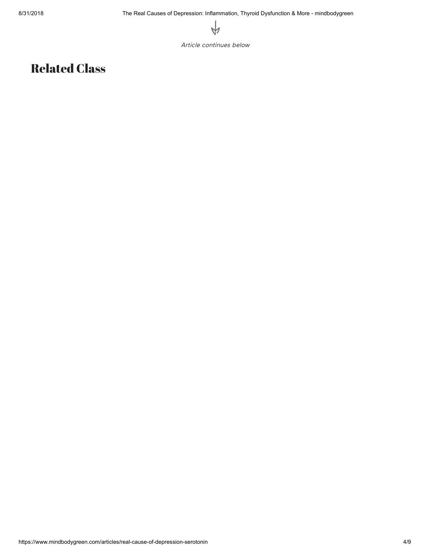

Article continues below

## Related Class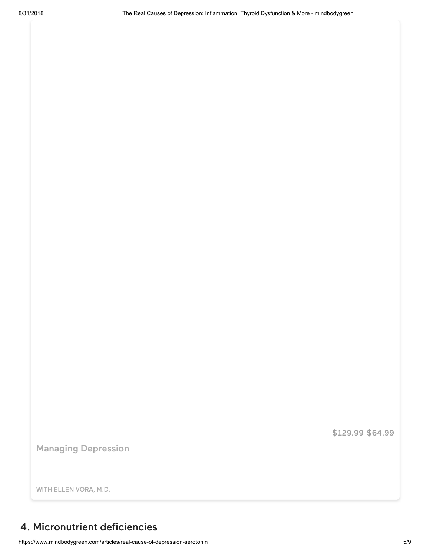[\\$129.99](https://www.mindbodygreen.com/classes/managing-depression-mind-body-spirit-approach?mbg_ifs=0&mbg_p=a&mbg_ref=body) \$64.99

[Managing Depression](https://www.mindbodygreen.com/classes/managing-depression-mind-body-spirit-approach?mbg_ifs=0&mbg_p=a&mbg_ref=body)

WITH ELLEN VORA, M.D.

#### 4. Micronutrient deficiencies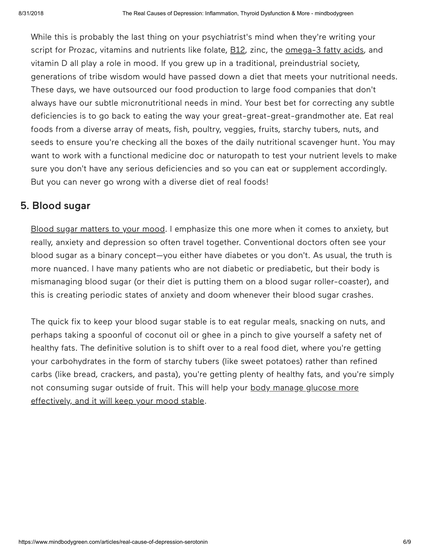While this is probably the last thing on your psychiatrist's mind when they're writing your script for Prozac, vitamins and nutrients like folate, [B12](https://www.ncbi.nlm.nih.gov/pubmed/11869745), zinc, the [omega-3 fatty acids](https://www.ncbi.nlm.nih.gov/pmc/articles/PMC5542678/), and vitamin D all play a role in mood. If you grew up in a traditional, preindustrial society, generations of tribe wisdom would have passed down a diet that meets your nutritional needs. These days, we have outsourced our food production to large food companies that don't always have our subtle micronutritional needs in mind. Your best bet for correcting any subtle deficiencies is to go back to eating the way your great-great-great-grandmother ate. Eat real foods from a diverse array of meats, fish, poultry, veggies, fruits, starchy tubers, nuts, and seeds to ensure you're checking all the boxes of the daily nutritional scavenger hunt. You may want to work with a functional medicine doc or naturopath to test your nutrient levels to make sure you don't have any serious deficiencies and so you can eat or supplement accordingly. But you can never go wrong with a diverse diet of real foods!

#### 5. Blood sugar

[Blood sugar matters to your mood.](https://www.ncbi.nlm.nih.gov/pmc/articles/PMC4375817/) I emphasize this one more when it comes to anxiety, but really, anxiety and depression so often travel together. Conventional doctors often see your blood sugar as a binary concept—you either have diabetes or you don't. As usual, the truth is more nuanced. I have many patients who are not diabetic or prediabetic, but their body is mismanaging blood sugar (or their diet is putting them on a blood sugar roller-coaster), and this is creating periodic states of anxiety and doom whenever their blood sugar crashes.

The quick fix to keep your blood sugar stable is to eat regular meals, snacking on nuts, and perhaps taking a spoonful of coconut oil or ghee in a pinch to give yourself a safety net of healthy fats. The definitive solution is to shift over to a real food diet, where you're getting your carbohydrates in the form of starchy tubers (like sweet potatoes) rather than refined carbs (like bread, crackers, and pasta), you're getting plenty of healthy fats, and you're simply [not consuming sugar outside of fruit. This will help your body manage glucose more](https://www.ncbi.nlm.nih.gov/pmc/articles/PMC4963565/) effectively, and it will keep your mood stable.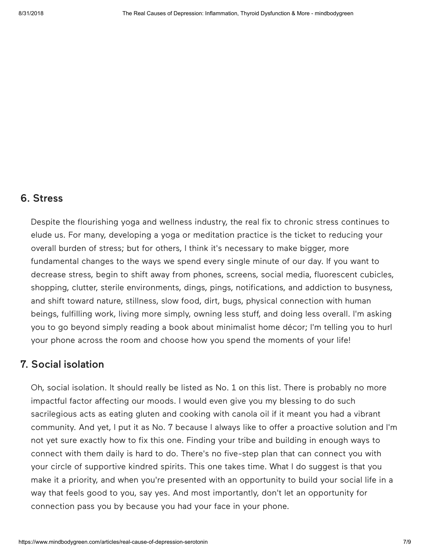#### 6. Stress

Despite the flourishing yoga and wellness industry, the real fix to chronic stress continues to elude us. For many, developing a yoga or meditation practice is the ticket to reducing your overall burden of stress; but for others, I think it's necessary to make bigger, more fundamental changes to the ways we spend every single minute of our day. If you want to decrease stress, begin to shift away from phones, screens, social media, fluorescent cubicles, shopping, clutter, sterile environments, dings, pings, notifications, and addiction to busyness, and shift toward nature, stillness, slow food, dirt, bugs, physical connection with human beings, fulfilling work, living more simply, owning less stuff, and doing less overall. I'm asking you to go beyond simply reading a book about minimalist home décor; I'm telling you to hurl your phone across the room and choose how you spend the moments of your life!

#### 7. Social isolation

Oh, social isolation. It should really be listed as No. 1 on this list. There is probably no more impactful factor affecting our moods. I would even give you my blessing to do such sacrilegious acts as eating gluten and cooking with canola oil if it meant you had a vibrant community. And yet, I put it as No. 7 because I always like to offer a proactive solution and I'm not yet sure exactly how to fix this one. Finding your tribe and building in enough ways to connect with them daily is hard to do. There's no five-step plan that can connect you with your circle of supportive kindred spirits. This one takes time. What I do suggest is that you make it a priority, and when you're presented with an opportunity to build your social life in a way that feels good to you, say yes. And most importantly, don't let an opportunity for connection pass you by because you had your face in your phone.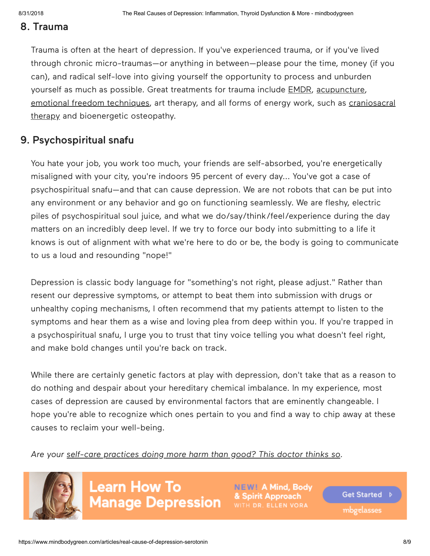#### 8. Trauma

Trauma is often at the heart of depression. If you've experienced trauma, or if you've lived through chronic micro-traumas—or anything in between—please pour the time, money (if you can), and radical self-love into giving yourself the opportunity to process and unburden yourself as much as possible. Great treatments for trauma include [EMDR,](http://www.emdr.com/what-is-emdr/) [acupuncture,](https://www.ncbi.nlm.nih.gov/pmc/articles/PMC3580897/) [emotional freedom techniques](https://www.thetappingsolution.com/what-is-eft-tapping/)[, art therapy, and all forms of energy work, such as craniosacral](https://www.mindbodygreen.com/articles/i-tried-craniosacral-therapy-here-is-what-happened?mbg_ifs=0&mbg_p=a&mbg_ref=body) therapy and bioenergetic osteopathy.

#### 9. Psychospiritual snafu

You hate your job, you work too much, your friends are self-absorbed, you're energetically misaligned with your city, you're indoors 95 percent of every day... You've got a case of psychospiritual snafu—and that can cause depression. We are not robots that can be put into any environment or any behavior and go on functioning seamlessly. We are fleshy, electric piles of psychospiritual soul juice, and what we do/say/think/feel/experience during the day matters on an incredibly deep level. If we try to force our body into submitting to a life it knows is out of alignment with what we're here to do or be, the body is going to communicate to us a loud and resounding "nope!"

Depression is classic body language for "something's not right, please adjust." Rather than resent our depressive symptoms, or attempt to beat them into submission with drugs or unhealthy coping mechanisms, I often recommend that my patients attempt to listen to the symptoms and hear them as a wise and loving plea from deep within you. If you're trapped in a psychospiritual snafu, I urge you to trust that tiny voice telling you what doesn't feel right, and make bold changes until you're back on track.

While there are certainly genetic factors at play with depression, don't take that as a reason to do nothing and despair about your hereditary chemical imbalance. In my experience, most cases of depression are caused by environmental factors that are eminently changeable. I hope you're able to recognize which ones pertain to you and find a way to chip away at these causes to reclaim your well-being.

*Are your [self-care practices doing more harm than good? This doctor thinks so.](https://www.mindbodygreen.com/articles/the-negative-effects-of-self-care-practices?mbg_ifs=0&mbg_p=a&mbg_ref=body)*



**Learn How To Manage Depression** 

**NEW! A Mind, Body** ipirit Approach

**Get Started** mbgelasses